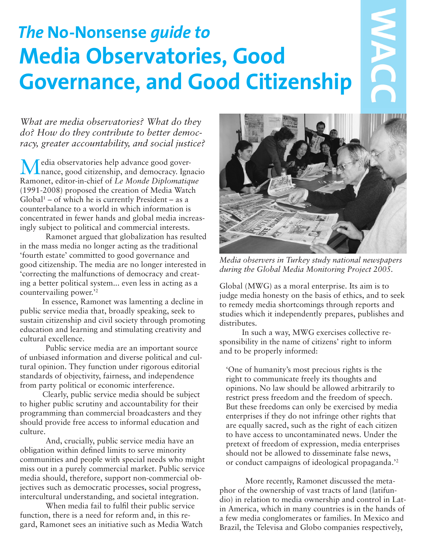# *The* **No-Nonsense** *guide to* **Media Observatories, Good Governance, and Good Citizenship**

*What are media observatories? What do they do? How do they contribute to better democracy, greater accountability, and social justice?*

Media observatories help advance good gover-nance, good citizenship, and democracy. Ignacio Ramonet, editor-in-chief of *Le Monde Diplomatique* (1991-2008) proposed the creation of Media Watch  $Global<sup>1</sup> – of which he is currently President – as a$ counterbalance to a world in which information is concentrated in fewer hands and global media increasingly subject to political and commercial interests.

Ramonet argued that globalization has resulted in the mass media no longer acting as the traditional 'fourth estate' committed to good governance and good citizenship. The media are no longer interested in 'correcting the malfunctions of democracy and creating a better political system... even less in acting as a countervailing power.'2

In essence, Ramonet was lamenting a decline in public service media that, broadly speaking, seek to sustain citizenship and civil society through promoting education and learning and stimulating creativity and cultural excellence.

Public service media are an important source of unbiased information and diverse political and cultural opinion. They function under rigorous editorial standards of objectivity, fairness, and independence from party political or economic interference.

Clearly, public service media should be subject to higher public scrutiny and accountability for their programming than commercial broadcasters and they should provide free access to informal education and culture.

And, crucially, public service media have an obligation within defined limits to serve minority communities and people with special needs who might miss out in a purely commercial market. Public service media should, therefore, support non-commercial objectives such as democratic processes, social progress, intercultural understanding, and societal integration.

When media fail to fulfil their public service function, there is a need for reform and, in this regard, Ramonet sees an initiative such as Media Watch



Global (MWG) as a moral enterprise. Its aim is to judge media honesty on the basis of ethics, and to seek to remedy media shortcomings through reports and studies which it independently prepares, publishes and distributes.

In such a way, MWG exercises collective responsibility in the name of citizens' right to inform and to be properly informed:

'One of humanity's most precious rights is the right to communicate freely its thoughts and opinions. No law should be allowed arbitrarily to restrict press freedom and the freedom of speech. But these freedoms can only be exercised by media enterprises if they do not infringe other rights that are equally sacred, such as the right of each citizen to have access to uncontaminated news. Under the pretext of freedom of expression, media enterprises should not be allowed to disseminate false news, or conduct campaigns of ideological propaganda.'2

More recently, Ramonet discussed the metaphor of the ownership of vast tracts of land (latifundio) in relation to media ownership and control in Latin America, which in many countries is in the hands of a few media conglomerates or families. In Mexico and Brazil, the Televisa and Globo companies respectively,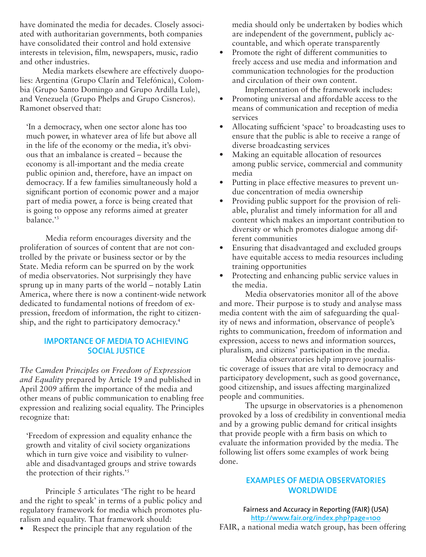have dominated the media for decades. Closely associated with authoritarian governments, both companies have consolidated their control and hold extensive interests in television, film, newspapers, music, radio and other industries.

Media markets elsewhere are effectively duopolies: Argentina (Grupo Clarín and Telefónica), Colombia (Grupo Santo Domingo and Grupo Ardilla Lule), and Venezuela (Grupo Phelps and Grupo Cisneros). Ramonet observed that:

'In a democracy, when one sector alone has too much power, in whatever area of life but above all in the life of the economy or the media, it's obvious that an imbalance is created – because the economy is all-important and the media create public opinion and, therefore, have an impact on democracy. If a few families simultaneously hold a significant portion of economic power and a major part of media power, a force is being created that is going to oppose any reforms aimed at greater balance.'3

Media reform encourages diversity and the proliferation of sources of content that are not controlled by the private or business sector or by the State. Media reform can be spurred on by the work of media observatories. Not surprisingly they have sprung up in many parts of the world – notably Latin America, where there is now a continent-wide network dedicated to fundamental notions of freedom of expression, freedom of information, the right to citizenship, and the right to participatory democracy.4

# **Importance of medIa to achIevIng socIal justIce**

*The Camden Principles on Freedom of Expression and Equality* prepared by Article 19 and published in April 2009 affirm the importance of the media and other means of public communication to enabling free expression and realizing social equality. The Principles recognize that:

'Freedom of expression and equality enhance the growth and vitality of civil society organizations which in turn give voice and visibility to vulnerable and disadvantaged groups and strive towards the protection of their rights.'5

Principle 5 articulates 'The right to be heard and the right to speak' in terms of a public policy and regulatory framework for media which promotes pluralism and equality. That framework should:

• Respect the principle that any regulation of the

media should only be undertaken by bodies which are independent of the government, publicly accountable, and which operate transparently

Promote the right of different communities to freely access and use media and information and communication technologies for the production and circulation of their own content.

Implementation of the framework includes:

- Promoting universal and affordable access to the means of communication and reception of media services
- Allocating sufficient 'space' to broadcasting uses to ensure that the public is able to receive a range of diverse broadcasting services
- Making an equitable allocation of resources among public service, commercial and community media
- Putting in place effective measures to prevent undue concentration of media ownership
- Providing public support for the provision of reliable, pluralist and timely information for all and content which makes an important contribution to diversity or which promotes dialogue among different communities
- Ensuring that disadvantaged and excluded groups have equitable access to media resources including training opportunities
- Protecting and enhancing public service values in the media.

Media observatories monitor all of the above and more. Their purpose is to study and analyse mass media content with the aim of safeguarding the quality of news and information, observance of people's rights to communication, freedom of information and expression, access to news and information sources, pluralism, and citizens' participation in the media.

Media observatories help improve journalistic coverage of issues that are vital to democracy and participatory development, such as good governance, good citizenship, and issues affecting marginalized people and communities.

The upsurge in observatories is a phenomenon provoked by a loss of credibility in conventional media and by a growing public demand for critical insights that provide people with a firm basis on which to evaluate the information provided by the media. The following list offers some examples of work being done.

## **EXAMPLES OF MEDIA OBSERVATORIES WORLDWIDE**

Fairness and Accuracy in Reporting (FAIR) (USA) **http://www.fair.org/index.php?page=100** FAIR, a national media watch group, has been offering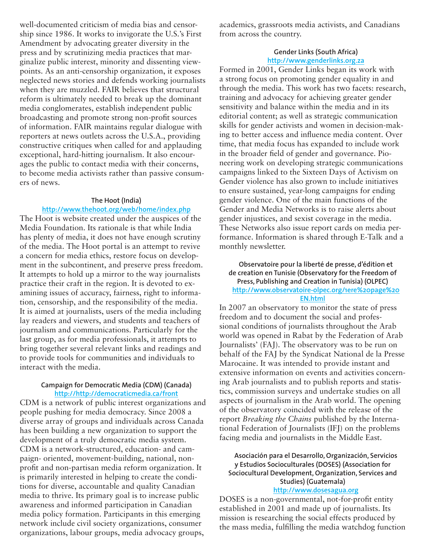well-documented criticism of media bias and censorship since 1986. It works to invigorate the U.S.'s First Amendment by advocating greater diversity in the press and by scrutinizing media practices that marginalize public interest, minority and dissenting viewpoints. As an anti-censorship organization, it exposes neglected news stories and defends working journalists when they are muzzled. FAIR believes that structural reform is ultimately needed to break up the dominant media conglomerates, establish independent public broadcasting and promote strong non-profit sources of information. FAIR maintains regular dialogue with reporters at news outlets across the U.S.A., providing constructive critiques when called for and applauding exceptional, hard-hitting journalism. It also encourages the public to contact media with their concerns, to become media activists rather than passive consumers of news.

## **the hoot (India)**

## **http://www.thehoot.org/web/home/index.php**

The Hoot is website created under the auspices of the Media Foundation. Its rationale is that while India has plenty of media, it does not have enough scrutiny of the media. The Hoot portal is an attempt to revive a concern for media ethics, restore focus on development in the subcontinent, and preserve press freedom. It attempts to hold up a mirror to the way journalists practice their craft in the region. It is devoted to examining issues of accuracy, fairness, right to information, censorship, and the responsibility of the media. It is aimed at journalists, users of the media including lay readers and viewers, and students and teachers of journalism and communications. Particularly for the last group, as for media professionals, it attempts to bring together several relevant links and readings and to provide tools for communities and individuals to interact with the media.

#### **Campaign for Democratic Media (CDM) (Canada) http://http://democraticmedia.ca/front**

CDM is a network of public interest organizations and people pushing for media democracy. Since 2008 a diverse array of groups and individuals across Canada has been building a new organization to support the development of a truly democratic media system. CDM is a network-structured, education- and campaign- oriented, movement-building, national, nonprofit and non-partisan media reform organization. It is primarily interested in helping to create the conditions for diverse, accountable and quality Canadian media to thrive. Its primary goal is to increase public awareness and informed participation in Canadian media policy formation. Participants in this emerging network include civil society organizations, consumer organizations, labour groups, media advocacy groups,

academics, grassroots media activists, and Canadians from across the country.

#### **gender links (south africa) http://www.genderlinks.org.za**

Formed in 2001, Gender Links began its work with a strong focus on promoting gender equality in and through the media. This work has two facets: research, training and advocacy for achieving greater gender sensitivity and balance within the media and in its editorial content; as well as strategic communication skills for gender activists and women in decision-making to better access and influence media content. Over time, that media focus has expanded to include work in the broader field of gender and governance. Pioneering work on developing strategic communications campaigns linked to the Sixteen Days of Activism on Gender violence has also grown to include initiatives to ensure sustained, year-long campaigns for ending gender violence. One of the main functions of the Gender and Media Networks is to raise alerts about gender injustices, and sexist coverage in the media. These Networks also issue report cards on media performance. Information is shared through E-Talk and a monthly newsletter.

#### **observatoire pour la liberté de presse, d'édition et de creation en tunisie (observatory for the freedom of press, publishing and creation in tunisia) (olpec) http://www.observatoire-olpec.org/1ere%20page%20 en.html**

In 2007 an observatory to monitor the state of press freedom and to document the social and professional conditions of journalists throughout the Arab world was opened in Rabat by the Federation of Arab Journalists' (FAJ). The observatory was to be run on behalf of the FAJ by the Syndicat National de la Presse Marocaine. It was intended to provide instant and extensive information on events and activities concerning Arab journalists and to publish reports and statistics, commission surveys and undertake studies on all aspects of journalism in the Arab world. The opening of the observatory coincided with the release of the report *Breaking the Chains* published by the International Federation of Journalists (IFJ) on the problems facing media and journalists in the Middle East.

# **asociación para el desarrollo, organización, servicios y Estudios Socioculturales (DOSES) (Association for Sociocultural Development, Organization, Services and studies) (guatemala)**

#### **http://www.dosesagua.org**

DOSES is a non-governmental, not-for-profit entity established in 2001 and made up of journalists. Its mission is researching the social effects produced by the mass media, fulfilling the media watchdog function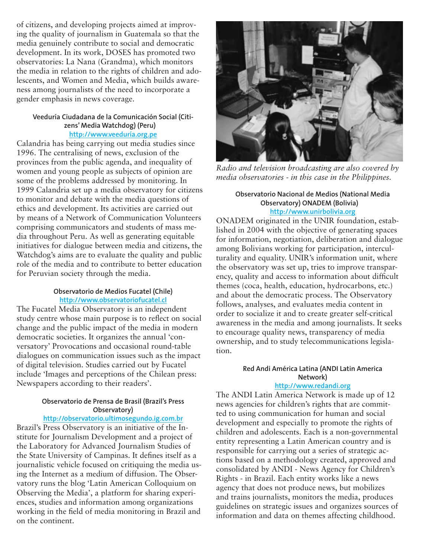of citizens, and developing projects aimed at improving the quality of journalism in Guatemala so that the media genuinely contribute to social and democratic development. In its work, DOSES has promoted two observatories: La Nana (Grandma), which monitors the media in relation to the rights of children and adolescents, and Women and Media, which builds awareness among journalists of the need to incorporate a gender emphasis in news coverage.

#### **veeduría ciudadana de la comunicación social (citizens' media watchdog) (peru) http://www.veeduría.org.pe**

Calandria has being carrying out media studies since 1996. The centralising of news, exclusion of the provinces from the public agenda, and inequality of women and young people as subjects of opinion are some of the problems addressed by monitoring. In 1999 Calandria set up a media observatory for citizens to monitor and debate with the media questions of ethics and development. Its activities are carried out by means of a Network of Communication Volunteers comprising communicators and students of mass media throughout Peru. As well as generating equitable initiatives for dialogue between media and citizens, the Watchdog's aims are to evaluate the quality and public role of the media and to contribute to better education for Peruvian society through the media.

#### **observatorio de medios fucatel (chile) http://www.observatoriofucatel.cl**

The Fucatel Media Observatory is an independent study centre whose main purpose is to reflect on social change and the public impact of the media in modern democratic societies. It organizes the annual 'conversatory' Provocations and occasional round-table dialogues on communication issues such as the impact of digital television. Studies carried out by Fucatel include 'Images and perceptions of the Chilean press: Newspapers according to their readers'.

## **observatorio de prensa de brasil (brazil's press observatory)**

**http://observatorio.ultimosegundo.ig.com.br**

Brazil's Press Observatory is an initiative of the Institute for Journalism Development and a project of the Laboratory for Advanced Journalism Studies of the State University of Campinas. It defines itself as a journalistic vehicle focused on critiquing the media using the Internet as a medium of diffusion. The Observatory runs the blog 'Latin American Colloquium on Observing the Media', a platform for sharing experiences, studies and information among organizations working in the field of media monitoring in Brazil and on the continent.



*Radio and television broadcasting are also covered by media observatories - in this case in the Philippines.*

#### **observatorio nacional de medios (national media Observatory) ONADEM (Bolivia) http://www.unirbolivia.org**

ONADEM originated in the UNIR foundation, established in 2004 with the objective of generating spaces for information, negotiation, deliberation and dialogue among Bolivians working for participation, interculturality and equality. UNIR's information unit, where the observatory was set up, tries to improve transparency, quality and access to information about difficult themes (coca, health, education, hydrocarbons, etc.) and about the democratic process. The Observatory follows, analyses, and evaluates media content in order to socialize it and to create greater self-critical awareness in the media and among journalists. It seeks to encourage quality news, transparency of media ownership, and to study telecommunications legislation.

## **Red Andi América Latina (ANDI Latin America network)**

#### **http://www.redandi.org**

The ANDI Latin America Network is made up of 12 news agencies for children's rights that are committed to using communication for human and social development and especially to promote the rights of children and adolescents. Each is a non-governmental entity representing a Latin American country and is responsible for carrying out a series of strategic actions based on a methodology created, approved and consolidated by ANDI - News Agency for Children's Rights - in Brazil. Each entity works like a news agency that does not produce news, but mobilizes and trains journalists, monitors the media, produces guidelines on strategic issues and organizes sources of information and data on themes affecting childhood.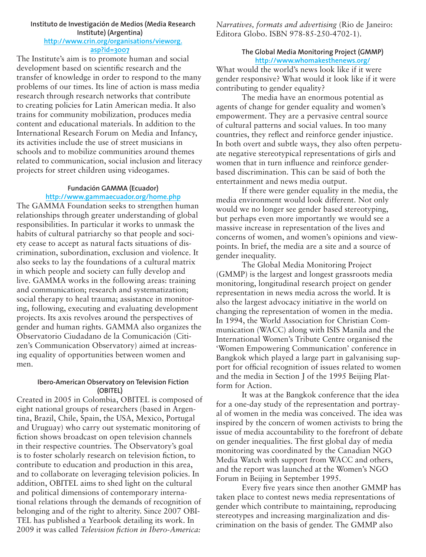#### **Instituto de Investigación de medios (media research Institute) (argentina) http://www.crin.org/organisations/vieworg. asp?id=3007**

The Institute's aim is to promote human and social development based on scientific research and the transfer of knowledge in order to respond to the many problems of our times. Its line of action is mass media research through research networks that contribute to creating policies for Latin American media. It also trains for community mobilization, produces media content and educational materials. In addition to the International Research Forum on Media and Infancy, its activities include the use of street musicians in schools and to mobilize communities around themes related to communication, social inclusion and literacy projects for street children using videogames.

## **fundación gamma (ecuador) http://www.gammaecuador.org/home.php**

The GAMMA Foundation seeks to strengthen human relationships through greater understanding of global responsibilities. In particular it works to unmask the habits of cultural patriarchy so that people and society cease to accept as natural facts situations of discrimination, subordination, exclusion and violence. It also seeks to lay the foundations of a cultural matrix in which people and society can fully develop and live. GAMMA works in the following areas: training and communication; research and systematization; social therapy to heal trauma; assistance in monitoring, following, executing and evaluating development projects. Its axis revolves around the perspectives of gender and human rights. GAMMA also organizes the Observatorio Ciudadano de la Comunicación (Citizen's Communication Observatory) aimed at increasing equality of opportunities between women and men.

#### **Ibero-American Observatory on Television Fiction (obItel)**

Created in 2005 in Colombia, OBITEL is composed of eight national groups of researchers (based in Argentina, Brazil, Chile, Spain, the USA, Mexico, Portugal and Uruguay) who carry out systematic monitoring of fiction shows broadcast on open television channels in their respective countries. The Observatory's goal is to foster scholarly research on television fiction, to contribute to education and production in this area, and to collaborate on leveraging television policies. In addition, OBITEL aims to shed light on the cultural and political dimensions of contemporary international relations through the demands of recognition of belonging and of the right to alterity. Since 2007 OBI-TEL has published a Yearbook detailing its work. In 2009 it was called *Television fiction in Ibero-America:* 

*Narratives, formats and advertising* (Rio de Janeiro: Editora Globo. ISBN 978-85-250-4702-1).

## **the global media monitoring project (gmmp) http://www.whomakesthenews.org/**

What would the world's news look like if it were gender responsive? What would it look like if it were contributing to gender equality?

The media have an enormous potential as agents of change for gender equality and women's empowerment. They are a pervasive central source of cultural patterns and social values. In too many countries, they reflect and reinforce gender injustice. In both overt and subtle ways, they also often perpetuate negative stereotypical representations of girls and women that in turn influence and reinforce genderbased discrimination. This can be said of both the entertainment and news media output.

If there were gender equality in the media, the media environment would look different. Not only would we no longer see gender based stereotyping, but perhaps even more importantly we would see a massive increase in representation of the lives and concerns of women, and women's opinions and viewpoints. In brief, the media are a site and a source of gender inequality.

The Global Media Monitoring Project (GMMP) is the largest and longest grassroots media monitoring, longitudinal research project on gender representation in news media across the world. It is also the largest advocacy initiative in the world on changing the representation of women in the media. In 1994, the World Association for Christian Communication (WACC) along with ISIS Manila and the International Women's Tribute Centre organised the 'Women Empowering Communication' conference in Bangkok which played a large part in galvanising support for official recognition of issues related to women and the media in Section J of the 1995 Beijing Platform for Action.

It was at the Bangkok conference that the idea for a one-day study of the representation and portrayal of women in the media was conceived. The idea was inspired by the concern of women activists to bring the issue of media accountability to the forefront of debate on gender inequalities. The first global day of media monitoring was coordinated by the Canadian NGO Media Watch with support from WACC and others, and the report was launched at the Women's NGO Forum in Beijing in September 1995.

Every five years since then another GMMP has taken place to contest news media representations of gender which contribute to maintaining, reproducing stereotypes and increasing marginalization and discrimination on the basis of gender. The GMMP also